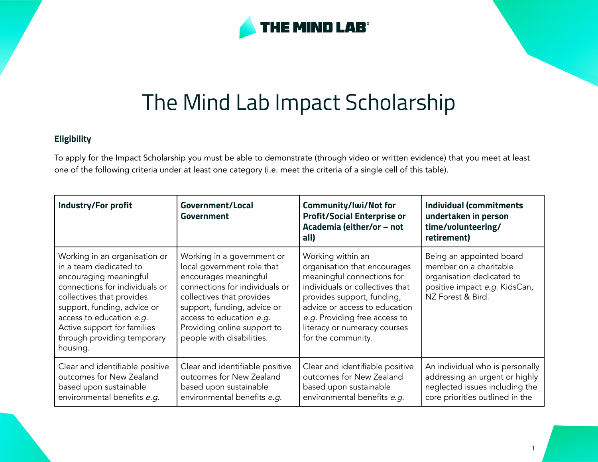

## The Mind Lab Impact Scholarship

## **Eligibility**

To apply for the Impact Scholarship you must be able to demonstrate (through video or written evidence) that you meet at least one of the following criteria under at least one category (i.e. meet the criteria of a single cell of this table).

| <b>Industry/For profit</b>                                                                                                                                                                                                                                                            | Government/Local<br>Government                                                                                                                                                                                                                                          | Community/Iwi/Not for<br><b>Profit/Social Enterprise or</b><br>Academia (either/or - not<br>all)                                                                                                                                                                         | <b>Individual (commitments</b><br>undertaken in person<br>time/volunteering/<br>retirement)                                            |
|---------------------------------------------------------------------------------------------------------------------------------------------------------------------------------------------------------------------------------------------------------------------------------------|-------------------------------------------------------------------------------------------------------------------------------------------------------------------------------------------------------------------------------------------------------------------------|--------------------------------------------------------------------------------------------------------------------------------------------------------------------------------------------------------------------------------------------------------------------------|----------------------------------------------------------------------------------------------------------------------------------------|
| Working in an organisation or<br>in a team dedicated to<br>encouraging meaningful<br>connections for individuals or<br>collectives that provides<br>support, funding, advice or<br>access to education e.g.<br>Active support for families<br>through providing temporary<br>housing. | Working in a government or<br>local government role that<br>encourages meaningful<br>connections for individuals or<br>collectives that provides<br>support, funding, advice or<br>access to education e.g.<br>Providing online support to<br>people with disabilities. | Working within an<br>organisation that encourages<br>meaningful connections for<br>individuals or collectives that<br>provides support, funding,<br>advice or access to education<br>e.g. Providing free access to<br>literacy or numeracy courses<br>for the community. | Being an appointed board<br>member on a charitable<br>organisation dedicated to<br>positive impact e.g. KidsCan,<br>NZ Forest & Bird.  |
| Clear and identifiable positive<br>outcomes for New Zealand<br>based upon sustainable<br>environmental benefits e.g.                                                                                                                                                                  | Clear and identifiable positive<br>outcomes for New Zealand<br>based upon sustainable<br>environmental benefits e.g.                                                                                                                                                    | Clear and identifiable positive<br>outcomes for New Zealand<br>based upon sustainable<br>environmental benefits e.g.                                                                                                                                                     | An individual who is personally<br>addressing an urgent or highly<br>neglected issues including the<br>core priorities outlined in the |